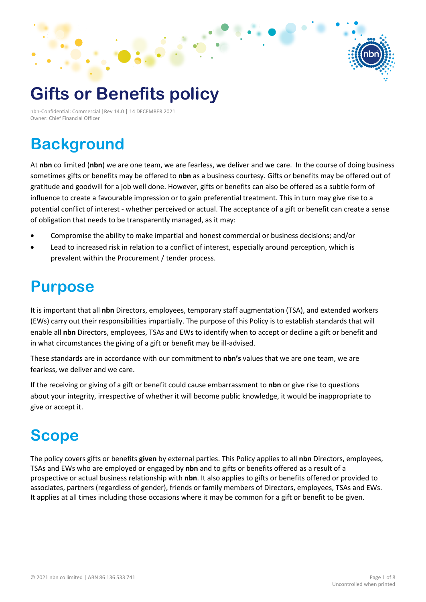# **Gifts or Benefits policy**

nbn-Confidential: Commercial |Rev 14.0 | 14 DECEMBER 2021 Owner: Chief Financial Officer

### **Background**

At **nbn** co limited (**nbn**) we are one team, we are fearless, we deliver and we care. In the course of doing business sometimes gifts or benefits may be offered to **nbn** as a business courtesy. Gifts or benefits may be offered out of gratitude and goodwill for a job well done. However, gifts or benefits can also be offered as a subtle form of influence to create a favourable impression or to gain preferential treatment. This in turn may give rise to a potential conflict of interest - whether perceived or actual. The acceptance of a gift or benefit can create a sense of obligation that needs to be transparently managed, as it may:

- Compromise the ability to make impartial and honest commercial or business decisions; and/or
- Lead to increased risk in relation to a conflict of interest, especially around perception, which is prevalent within the Procurement / tender process.

### **Purpose**

It is important that all **nbn** Directors, employees, temporary staff augmentation (TSA), and extended workers (EWs) carry out their responsibilities impartially. The purpose of this Policy is to establish standards that will enable all **nbn** Directors, employees, TSAs and EWs to identify when to accept or decline a gift or benefit and in what circumstances the giving of a gift or benefit may be ill-advised.

These standards are in accordance with our commitment to **nbn's** values that we are one team, we are fearless, we deliver and we care.

If the receiving or giving of a gift or benefit could cause embarrassment to **nbn** or give rise to questions about your integrity, irrespective of whether it will become public knowledge, it would be inappropriate to give or accept it.

## **Scope**

The policy covers gifts or benefits **given** by external parties. This Policy applies to all **nbn** Directors, employees, TSAs and EWs who are employed or engaged by **nbn** and to gifts or benefits offered as a result of a prospective or actual business relationship with **nbn**. It also applies to gifts or benefits offered or provided to associates, partners (regardless of gender), friends or family members of Directors, employees, TSAs and EWs. It applies at all times including those occasions where it may be common for a gift or benefit to be given.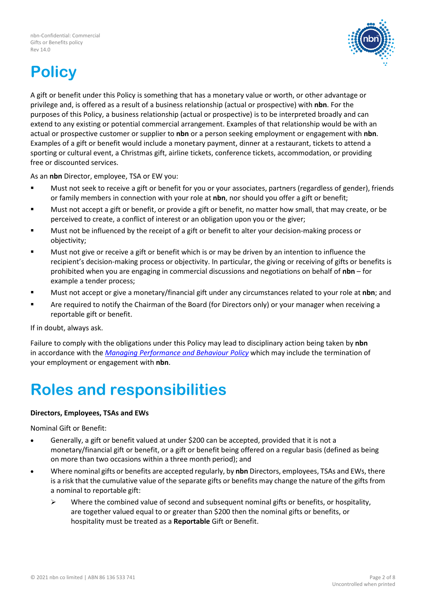

# **Policy**

A gift or benefit under this Policy is something that has a monetary value or worth, or other advantage or privilege and, is offered as a result of a business relationship (actual or prospective) with **nbn**. For the purposes of this Policy, a business relationship (actual or prospective) is to be interpreted broadly and can extend to any existing or potential commercial arrangement. Examples of that relationship would be with an actual or prospective customer or supplier to **nbn** or a person seeking employment or engagement with **nbn**. Examples of a gift or benefit would include a monetary payment, dinner at a restaurant, tickets to attend a sporting or cultural event, a Christmas gift, airline tickets, conference tickets, accommodation, or providing free or discounted services.

As an **nbn** Director, employee, TSA or EW you:

- Must not seek to receive a gift or benefit for you or your associates, partners (regardless of gender), friends or family members in connection with your role at **nbn**, nor should you offer a gift or benefit;
- Must not accept a gift or benefit, or provide a gift or benefit, no matter how small, that may create, or be perceived to create, a conflict of interest or an obligation upon you or the giver;
- Must not be influenced by the receipt of a gift or benefit to alter your decision-making process or objectivity;
- Must not give or receive a gift or benefit which is or may be driven by an intention to influence the recipient's decision-making process or objectivity. In particular, the giving or receiving of gifts or benefits is prohibited when you are engaging in commercial discussions and negotiations on behalf of **nbn** – for example a tender process;
- Must not accept or give a monetary/financial gift under any circumstances related to your role at **nbn**; and
- Are required to notify the Chairman of the Board (for Directors only) or your manager when receiving a reportable gift or benefit.

If in doubt, always ask.

Failure to comply with the obligations under this Policy may lead to disciplinary action being taken by **nbn**  in accordance with the *[Managing Performance and Behaviour Policy](https://docs.nbnco.net.au/sites/F0309/PublicDocuments/Managing%20Performance%20and%20Behaviour%20Policy.pdf#search=managing)* which may include the termination of your employment or engagement with **nbn**.

### **Roles and responsibilities**

#### **Directors, Employees, TSAs and EWs**

Nominal Gift or Benefit:

- Generally, a gift or benefit valued at under \$200 can be accepted, provided that it is not a monetary/financial gift or benefit, or a gift or benefit being offered on a regular basis (defined as being on more than two occasions within a three month period); and
- Where nominal gifts or benefits are accepted regularly, by **nbn** Directors, employees, TSAs and EWs, there is a risk that the cumulative value of the separate gifts or benefits may change the nature of the gifts from a nominal to reportable gift:
	- $\triangleright$  Where the combined value of second and subsequent nominal gifts or benefits, or hospitality, are together valued equal to or greater than \$200 then the nominal gifts or benefits, or hospitality must be treated as a **Reportable** Gift or Benefit.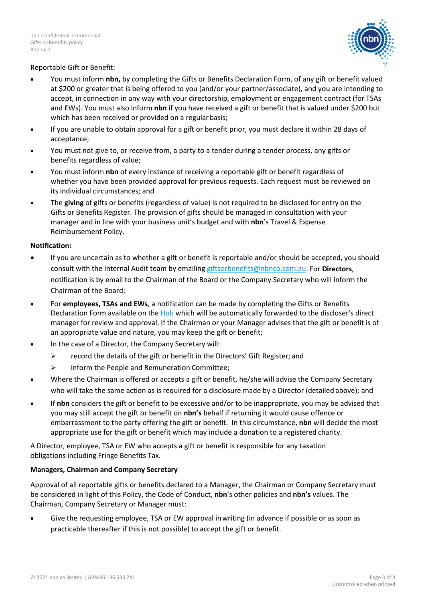

#### Reportable Gift or Benefit:

- You must inform **nbn,** by completing the Gifts or Benefits Declaration Form, of any gift or benefit valued at \$200 or greater that is being offered to you (and/or your partner/associate), and you are intending to accept, in connection in any way with your directorship, employment or engagement contract (for TSAs and EWs). You must also inform **nbn** if you have received a gift or benefit that is valued under \$200 but which has been received or provided on a regular basis;
- If you are unable to obtain approval for a gift or benefit prior, you must declare it within 28 days of acceptance;
- You must not give to, or receive from, a party to a tender during a tender process, any gifts or benefits regardless of value;
- You must inform **nbn** of every instance of receiving a reportable gift or benefit regardless of whether you have been provided approval for previous requests. Each request must be reviewed on its individual circumstances; and
- The **giving** of gifts or benefits (regardless of value) is not required to be disclosed for entry on the Gifts or Benefits Register. The provision of gifts should be managed in consultation with your manager and in line with your business unit's budget and with **nbn**'s Travel & Expense Reimbursement Policy.

#### **Notification:**

- If you are uncertain as to whether a gift or benefit is reportable and/or should be accepted, you should consult with the Internal Audit team by emailing [giftsorbenefits@nbnco.com.au.](mailto:giftsorbenefits@nbnco.com.au) For **Directors**, notification is by email to the Chairman of the Board or the Company Secretary who will inform the Chairman of the Board;
- For **employees, TSAs and EWs**, a notification can be made by completing the Gifts or Benefits Declaration Form available on the [Hub](https://docs.nbnco.net.au/Sites/F0187/Pages/Shopfront.aspx) which will be automatically forwarded to the discloser's direct manager for review and approval. If the Chairman or your Manager advises that the gift or benefit is of an appropriate value and nature, you may keep the gift or benefit;
- In the case of a Director, the Company Secretary will:
	- $\triangleright$  record the details of the gift or benefit in the Directors' Gift Register; and
	- $\triangleright$  inform the People and Remuneration Committee;
- Where the Chairman is offered or accepts a gift or benefit, he/she will advise the Company Secretary who will take the same action as is required for a disclosure made by a Director (detailed above); and
- If **nbn** considers the gift or benefit to be excessive and/or to be inappropriate, you may be advised that you may still accept the gift or benefit on **nbn's** behalf if returning it would cause offence or embarrassment to the party offering the gift or benefit. In this circumstance, **nbn** will decide the most appropriate use for the gift or benefit which may include a donation to a registered charity.

A Director, employee, TSA or EW who accepts a gift or benefit is responsible for any taxation obligations including Fringe Benefits Tax.

#### **Managers, Chairman and Company Secretary**

Approval of all reportable gifts or benefits declared to a Manager, the Chairman or Company Secretary must be considered in light of this Policy, the Code of Conduct, **nbn**'s other policies and **nbn's** values. The Chairman, Company Secretary or Manager must:

• Give the requesting employee, TSA or EW approval inwriting (in advance if possible or as soon as practicable thereafter if this is not possible) to accept the gift or benefit.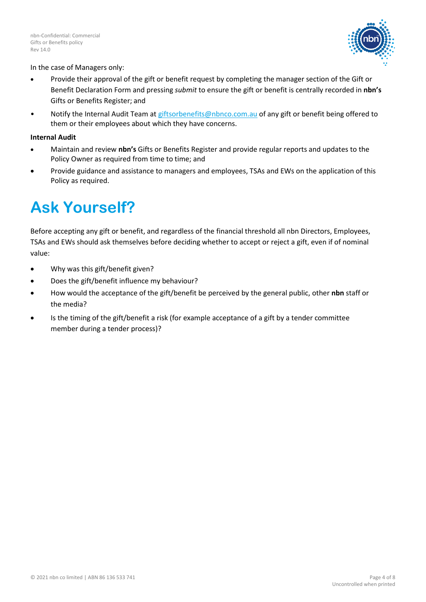

#### In the case of Managers only:

- Provide their approval of the gift or benefit request by completing the manager section of the Gift or Benefit Declaration Form and pressing *submit* to ensure the gift or benefit is centrally recorded in **nbn's**  Gifts or Benefits Register; and
- Notify the Internal Audit Team at giftsorbenefits@nbnco.com.au of any gift or benefit being offered to them or their employees about which they have concerns.

#### **Internal Audit**

- Maintain and review **nbn's** Gifts or Benefits Register and provide regular reports and updates to the Policy Owner as required from time to time; and
- Provide guidance and assistance to managers and employees, TSAs and EWs on the application of this Policy as required.

### **Ask Yourself?**

Before accepting any gift or benefit, and regardless of the financial threshold all nbn Directors, Employees, TSAs and EWs should ask themselves before deciding whether to accept or reject a gift, even if of nominal value:

- Why was this gift/benefit given?
- Does the gift/benefit influence my behaviour?
- How would the acceptance of the gift/benefit be perceived by the general public, other **nbn** staff or the media?
- Is the timing of the gift/benefit a risk (for example acceptance of a gift by a tender committee member during a tender process)?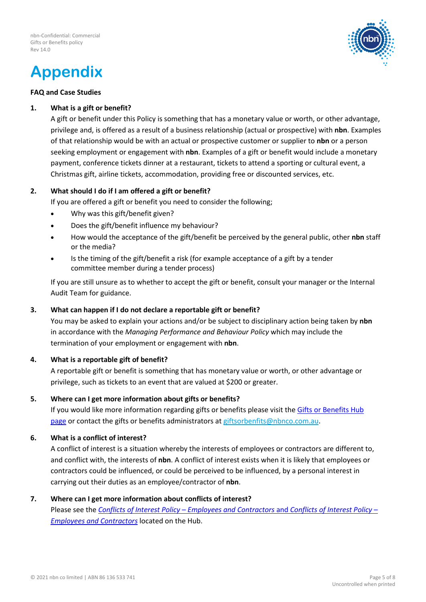## **Appendix**



#### **FAQ and Case Studies**

#### **1. What is a gift or benefit?**

A gift or benefit under this Policy is something that has a monetary value or worth, or other advantage, privilege and, is offered as a result of a business relationship (actual or prospective) with **nbn**. Examples of that relationship would be with an actual or prospective customer or supplier to **nbn** or a person seeking employment or engagement with **nbn**. Examples of a gift or benefit would include a monetary payment, conference tickets dinner at a restaurant, tickets to attend a sporting or cultural event, a Christmas gift, airline tickets, accommodation, providing free or discounted services, etc.

#### **2. What should I do if I am offered a gift or benefit?**

If you are offered a gift or benefit you need to consider the following;

- Why was this gift/benefit given?
- Does the gift/benefit influence my behaviour?
- How would the acceptance of the gift/benefit be perceived by the general public, other **nbn** staff or the media?
- Is the timing of the gift/benefit a risk (for example acceptance of a gift by a tender committee member during a tender process)

If you are still unsure as to whether to accept the gift or benefit, consult your manager or the Internal Audit Team for guidance.

#### **3. What can happen if I do not declare a reportable gift or benefit?**

You may be asked to explain your actions and/or be subject to disciplinary action being taken by **nbn**  in accordance with the *Managing Performance and Behaviour Policy* which may include the termination of your employment or engagement with **nbn**.

#### **4. What is a reportable gift of benefit?**

A reportable gift or benefit is something that has monetary value or worth, or other advantage or privilege, such as tickets to an event that are valued at \$200 or greater.

#### **5. Where can I get more information about gifts or benefits?**

If you would like more information regarding gifts or benefits please visit the Gifts or Benefits Hub [page](https://docs.nbnco.net.au/Sites/F0187/Pages/Gift%20or%20Benefit%20Management.aspx) or contact the gifts or benefits administrators a[t giftsorbenfits@nbnco.com.au.](mailto:giftsorbenfits@nbnco.com.au)

#### **6. What is a conflict of interest?**

A conflict of interest is a situation whereby the interests of employees or contractors are different to, and conflict with, the interests of **nbn**. A conflict of interest exists when it is likely that employees or contractors could be influenced, or could be perceived to be influenced, by a personal interest in carrying out their duties as an employee/contractor of **nbn**.

#### **7. Where can I get more information about conflicts of interest?**

Please see the *Conflicts of Interest Policy* – *[Employees and Contractors](https://docs.nbnco.net.au/sites/F0309/PublicDocuments/Conflicts%20of%20Interest%20Policy%20-%20Employees%20and%20Contractors.pdf#search=conflict)* and *Conflicts of Interest Policy* – *[Employees and Contractors](https://docs.nbnco.net.au/sites/F0309/PublicDocuments/Conflicts%20of%20Interest%20Policy%20-%20Employees%20and%20Contractors.pdf#search=conflict)* located on the Hub.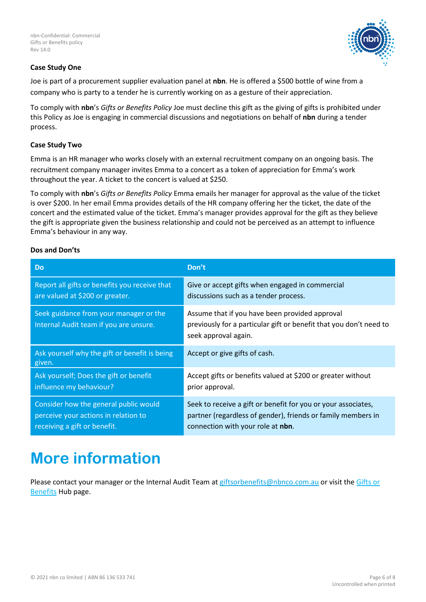

#### **Case Study One**

Joe is part of a procurement supplier evaluation panel at **nbn**. He is offered a \$500 bottle of wine from a company who is party to a tender he is currently working on as a gesture of their appreciation.

To comply with **nbn**'s *Gifts or Benefits Policy* Joe must decline this gift as the giving of gifts is prohibited under this Policy as Joe is engaging in commercial discussions and negotiations on behalf of **nbn** during a tender process.

#### **Case Study Two**

Emma is an HR manager who works closely with an external recruitment company on an ongoing basis. The recruitment company manager invites Emma to a concert as a token of appreciation for Emma's work throughout the year. A ticket to the concert is valued at \$250.

To comply with **nbn**'s *Gifts or Benefits Policy* Emma emails her manager for approval as the value of the ticket is over \$200. In her email Emma provides details of the HR company offering her the ticket, the date of the concert and the estimated value of the ticket. Emma's manager provides approval for the gift as they believe the gift is appropriate given the business relationship and could not be perceived as an attempt to influence Emma's behaviour in any way.

#### **Dos and Don'ts**

| <b>Do</b>                                                                        | Don't                                                                                                                                        |  |
|----------------------------------------------------------------------------------|----------------------------------------------------------------------------------------------------------------------------------------------|--|
| Report all gifts or benefits you receive that                                    | Give or accept gifts when engaged in commercial                                                                                              |  |
| are valued at \$200 or greater.                                                  | discussions such as a tender process.                                                                                                        |  |
| Seek guidance from your manager or the<br>Internal Audit team if you are unsure. | Assume that if you have been provided approval<br>previously for a particular gift or benefit that you don't need to<br>seek approval again. |  |
| Ask yourself why the gift or benefit is being<br>given.                          | Accept or give gifts of cash.                                                                                                                |  |
| Ask yourself; Does the gift or benefit                                           | Accept gifts or benefits valued at \$200 or greater without                                                                                  |  |
| influence my behaviour?                                                          | prior approval.                                                                                                                              |  |
| Consider how the general public would                                            | Seek to receive a gift or benefit for you or your associates,                                                                                |  |
| perceive your actions in relation to                                             | partner (regardless of gender), friends or family members in                                                                                 |  |
| receiving a gift or benefit.                                                     | connection with your role at nbn.                                                                                                            |  |

### **More information**

Please contact your manager or the Internal Audit Team at [giftsorbenefits@nbnco.com.au](https://docs.nbnco.net.au/Sites/F0187/Pages/Gift%20or%20Benefit%20Management.aspx) or visit the Gifts or Benefits [Hub page.](https://docs.nbnco.net.au/Sites/F0187/Pages/Gift%20or%20Benefit%20Management.aspx)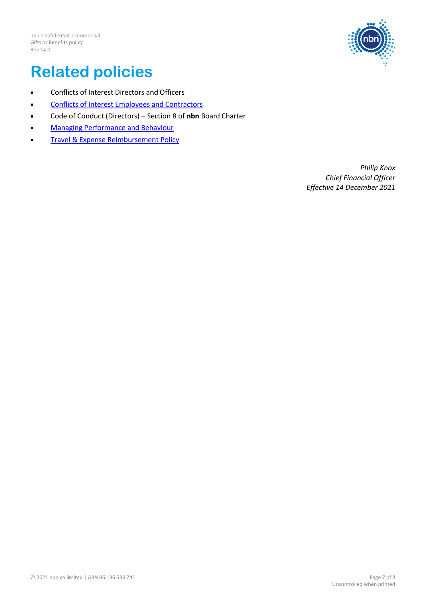

### **Related policies**

- Conflicts of Interest Directors and Officers
- [Conflicts of Interest Employees and](https://docs.nbnco.net.au/sites/F0309/PublicDocuments/Conflicts%20of%20Interest%20Policy%20-%20Employees%20and%20Contractors.pdf#search=conflict) Contractors
- Code of Conduct (Directors) Section 8 of **nbn** Board Charter
- **[Managing Performance and](https://docs.nbnco.net.au/sites/F0309/PublicDocuments/Managing%20Performance%20and%20Behaviour%20Policy.pdf#search=managing) Behaviour**
- **[Travel & Expense Reimbursement Policy](https://docs.nbnco.net.au/sites/F0309/PublicDocuments/Travel%20and%20Expense%20Reimbursement%20Policy.pdf#search=travel)**

*Philip Knox Chief Financial Officer Effective 14 December 2021*